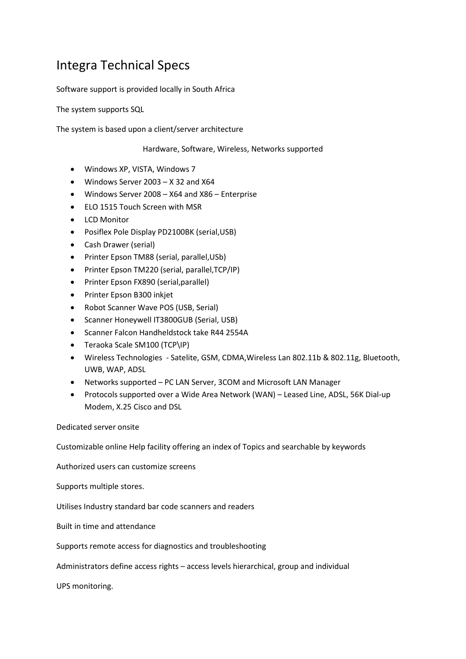## Integra Technical Specs

Software support is provided locally in South Africa

The system supports SQL

The system is based upon a client/server architecture

Hardware, Software, Wireless, Networks supported

- Windows XP, VISTA, Windows 7
- Windows Server 2003 X 32 and X64
- Windows Server 2008 X64 and X86 Enterprise
- ELO 1515 Touch Screen with MSR
- LCD Monitor
- Posiflex Pole Display PD2100BK (serial,USB)
- Cash Drawer (serial)
- Printer Epson TM88 (serial, parallel,USb)
- Printer Epson TM220 (serial, parallel,TCP/IP)
- Printer Epson FX890 (serial,parallel)
- Printer Epson B300 inkjet
- Robot Scanner Wave POS (USB, Serial)
- Scanner Honeywell IT3800GUB (Serial, USB)
- Scanner Falcon Handheldstock take R44 2554A
- Teraoka Scale SM100 (TCP\IP)
- Wireless Technologies Satelite, GSM, CDMA,Wireless Lan 802.11b & 802.11g, Bluetooth, UWB, WAP, ADSL
- Networks supported PC LAN Server, 3COM and Microsoft LAN Manager
- Protocols supported over a Wide Area Network (WAN) Leased Line, ADSL, 56K Dial-up Modem, X.25 Cisco and DSL

Dedicated server onsite

Customizable online Help facility offering an index of Topics and searchable by keywords

Authorized users can customize screens

Supports multiple stores.

Utilises Industry standard bar code scanners and readers

Built in time and attendance

Supports remote access for diagnostics and troubleshooting

Administrators define access rights – access levels hierarchical, group and individual

UPS monitoring.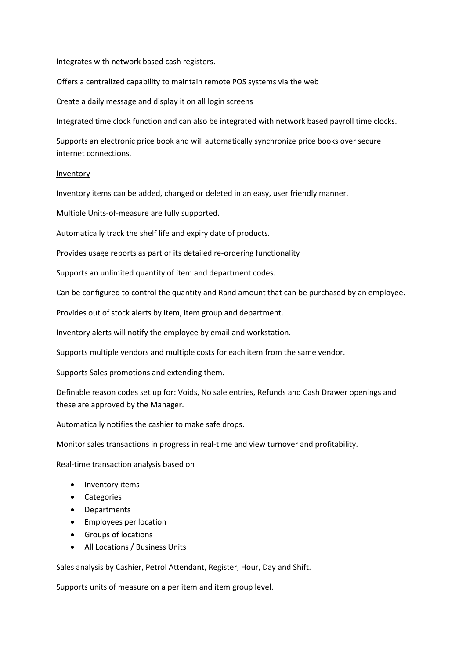Integrates with network based cash registers.

Offers a centralized capability to maintain remote POS systems via the web

Create a daily message and display it on all login screens

Integrated time clock function and can also be integrated with network based payroll time clocks.

Supports an electronic price book and will automatically synchronize price books over secure internet connections.

## Inventory

Inventory items can be added, changed or deleted in an easy, user friendly manner.

Multiple Units-of-measure are fully supported.

Automatically track the shelf life and expiry date of products.

Provides usage reports as part of its detailed re-ordering functionality

Supports an unlimited quantity of item and department codes.

Can be configured to control the quantity and Rand amount that can be purchased by an employee.

Provides out of stock alerts by item, item group and department.

Inventory alerts will notify the employee by email and workstation.

Supports multiple vendors and multiple costs for each item from the same vendor.

Supports Sales promotions and extending them.

Definable reason codes set up for: Voids, No sale entries, Refunds and Cash Drawer openings and these are approved by the Manager.

Automatically notifies the cashier to make safe drops.

Monitor sales transactions in progress in real-time and view turnover and profitability.

Real-time transaction analysis based on

- Inventory items
- Categories
- Departments
- Employees per location
- Groups of locations
- All Locations / Business Units

Sales analysis by Cashier, Petrol Attendant, Register, Hour, Day and Shift.

Supports units of measure on a per item and item group level.